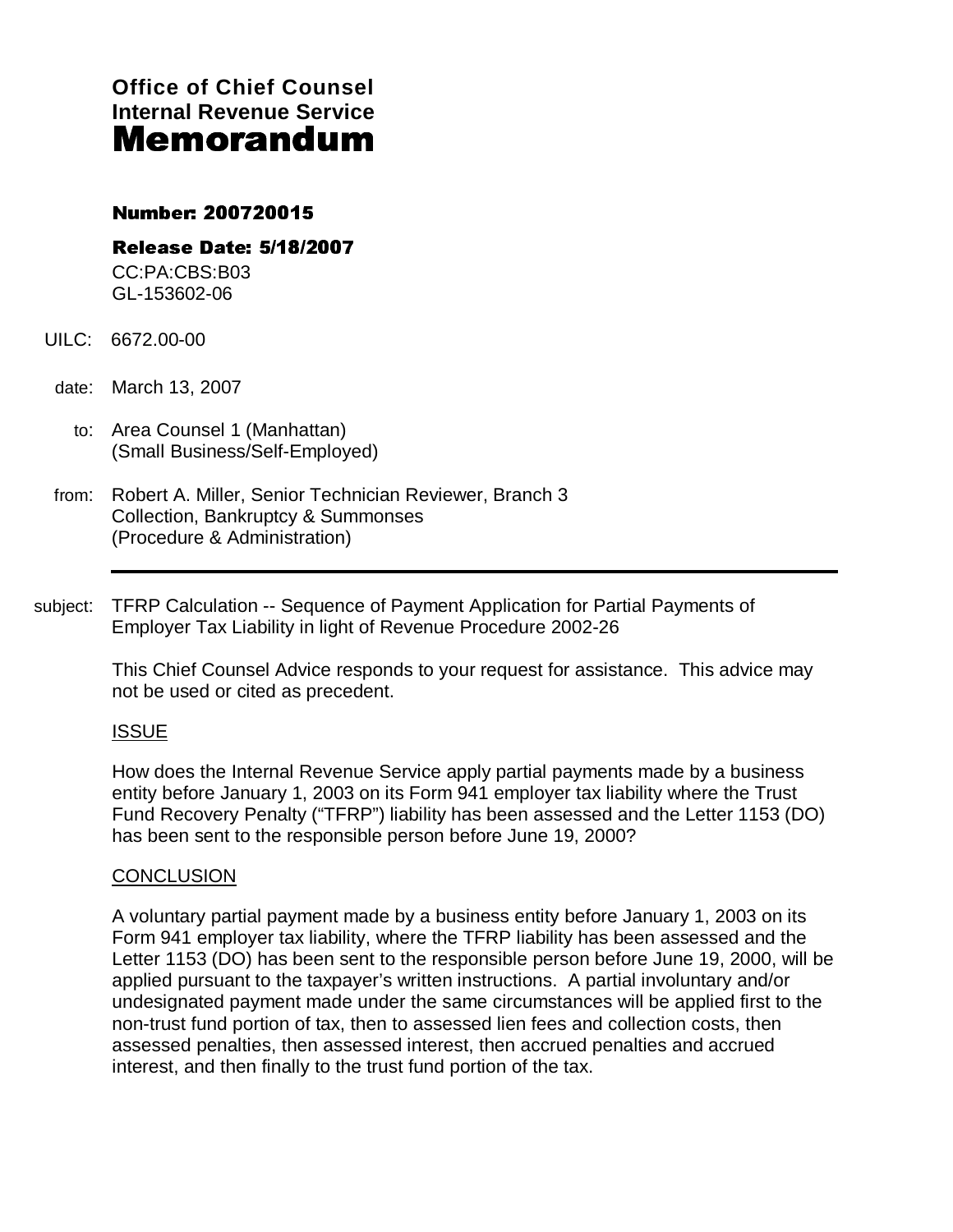**Office of Chief Counsel Internal Revenue Service**  Memorandum

# number: 2007

Release Date: 5/18/2007 CC:PA:CBS:B03 --------------------- GL-153602-06

- UILC: 6672.00-00
- date: March 13, 2007
	- to: Area Counsel 1 (Manhattan) (Small Business/Self-Employed)
- from: Robert A. Miller, Senior Technician Reviewer, Branch 3 Collection, Bankruptcy & Summonses (Procedure & Administration)
- subject: TFRP Calculation -- Sequence of Payment Application for Partial Payments of Employer Tax Liability in light of Revenue Procedure 2002-26

This Chief Counsel Advice responds to your request for assistance. This advice may not be used or cited as precedent.

# ISSUE

How does the Internal Revenue Service apply partial payments made by a business entity before January 1, 2003 on its Form 941 employer tax liability where the Trust Fund Recovery Penalty ("TFRP") liability has been assessed and the Letter 1153 (DO) has been sent to the responsible person before June 19, 2000?

## **CONCLUSION**

A voluntary partial payment made by a business entity before January 1, 2003 on its Form 941 employer tax liability, where the TFRP liability has been assessed and the Letter 1153 (DO) has been sent to the responsible person before June 19, 2000, will be applied pursuant to the taxpayer's written instructions. A partial involuntary and/or undesignated payment made under the same circumstances will be applied first to the non-trust fund portion of tax, then to assessed lien fees and collection costs, then assessed penalties, then assessed interest, then accrued penalties and accrued interest, and then finally to the trust fund portion of the tax.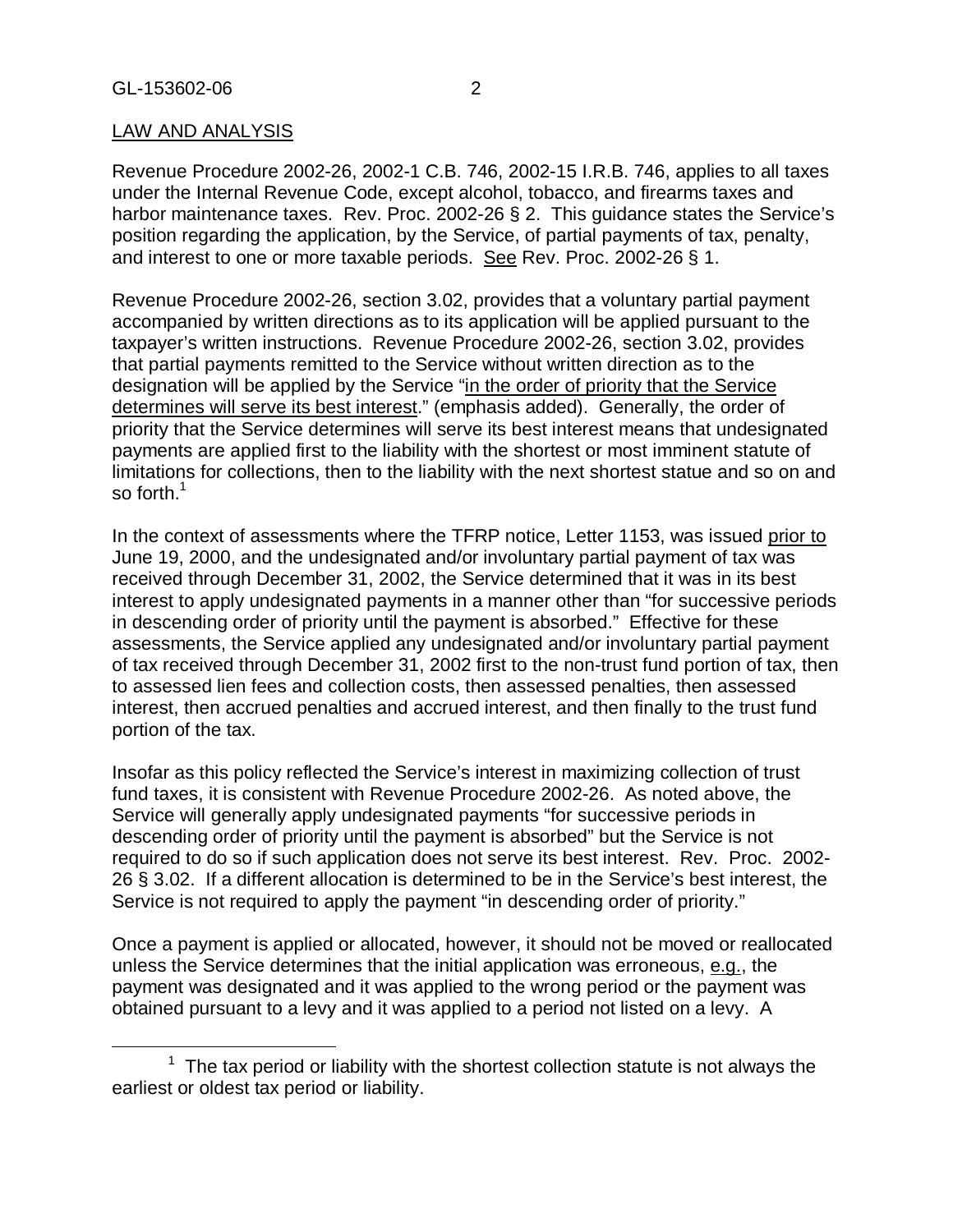## LAW AND ANALYSIS

Revenue Procedure 2002-26, 2002-1 C.B. 746, 2002-15 I.R.B. 746, applies to all taxes under the Internal Revenue Code, except alcohol, tobacco, and firearms taxes and harbor maintenance taxes. Rev. Proc. 2002-26 § 2. This guidance states the Service's position regarding the application, by the Service, of partial payments of tax, penalty, and interest to one or more taxable periods. See Rev. Proc. 2002-26 § 1.

Revenue Procedure 2002-26, section 3.02, provides that a voluntary partial payment accompanied by written directions as to its application will be applied pursuant to the taxpayer's written instructions. Revenue Procedure 2002-26, section 3.02, provides that partial payments remitted to the Service without written direction as to the designation will be applied by the Service "in the order of priority that the Service determines will serve its best interest." (emphasis added). Generally, the order of priority that the Service determines will serve its best interest means that undesignated payments are applied first to the liability with the shortest or most imminent statute of limitations for collections, then to the liability with the next shortest statue and so on and so forth.<sup>1</sup>

In the context of assessments where the TFRP notice, Letter 1153, was issued prior to June 19, 2000, and the undesignated and/or involuntary partial payment of tax was received through December 31, 2002, the Service determined that it was in its best interest to apply undesignated payments in a manner other than "for successive periods in descending order of priority until the payment is absorbed." Effective for these assessments, the Service applied any undesignated and/or involuntary partial payment of tax received through December 31, 2002 first to the non-trust fund portion of tax, then to assessed lien fees and collection costs, then assessed penalties, then assessed interest, then accrued penalties and accrued interest, and then finally to the trust fund portion of the tax.

Insofar as this policy reflected the Service's interest in maximizing collection of trust fund taxes, it is consistent with Revenue Procedure 2002-26. As noted above, the Service will generally apply undesignated payments "for successive periods in descending order of priority until the payment is absorbed" but the Service is not required to do so if such application does not serve its best interest. Rev. Proc. 2002- 26 § 3.02. If a different allocation is determined to be in the Service's best interest, the Service is not required to apply the payment "in descending order of priority."

Once a payment is applied or allocated, however, it should not be moved or reallocated unless the Service determines that the initial application was erroneous, e.g., the payment was designated and it was applied to the wrong period or the payment was obtained pursuant to a levy and it was applied to a period not listed on a levy. A

 $\frac{1}{1}$  $1$  The tax period or liability with the shortest collection statute is not always the earliest or oldest tax period or liability.